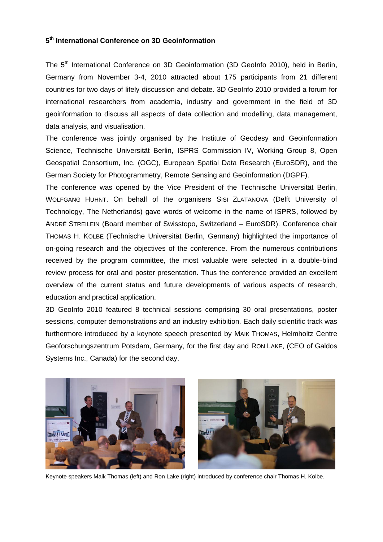## **5 th International Conference on 3D Geoinformation**

The 5<sup>th</sup> International Conference on 3D Geoinformation (3D GeoInfo 2010), held in Berlin, Germany from November 3-4, 2010 attracted about 175 participants from 21 different countries for two days of lifely discussion and debate. 3D GeoInfo 2010 provided a forum for international researchers from academia, industry and government in the field of 3D geoinformation to discuss all aspects of data collection and modelling, data management, data analysis, and visualisation.

The conference was jointly organised by the Institute of Geodesy and Geoinformation Science, Technische Universität Berlin, ISPRS Commission IV, Working Group 8, Open Geospatial Consortium, Inc. (OGC), European Spatial Data Research (EuroSDR), and the German Society for Photogrammetry, Remote Sensing and Geoinformation (DGPF).

The conference was opened by the Vice President of the Technische Universität Berlin, WOLFGANG HUHNT. On behalf of the organisers SISI ZLATANOVA [\(Delft University of](http://home.tudelft.nl/en/)  [Technology,](http://home.tudelft.nl/en/) The Netherlands) gave words of welcome in the name of ISPRS, followed by ANDRÉ STREILEIN (Board member of Swisstopo, Switzerland – EuroSDR). Conference chair THOMAS H. KOLBE (Technische Universität Berlin, Germany) highlighted the importance of on-going research and the objectives of the conference. From the numerous contributions received by the program committee, the most valuable were selected in a double-blind review process for oral and poster presentation. Thus the conference provided an excellent overview of the current status and future developments of various aspects of research, education and practical application.

3D GeoInfo 2010 featured 8 technical sessions comprising 30 oral presentations, poster sessions, computer demonstrations and an industry exhibition. Each daily scientific track was furthermore introduced by a keynote speech presented by MAIK THOMAS, Helmholtz Centre Geoforschungszentrum Potsdam, Germany, for the first day and RON LAKE, (CEO of Galdos Systems Inc., Canada) for the second day.



Keynote speakers Maik Thomas (left) and Ron Lake (right) introduced by conference chair Thomas H. Kolbe.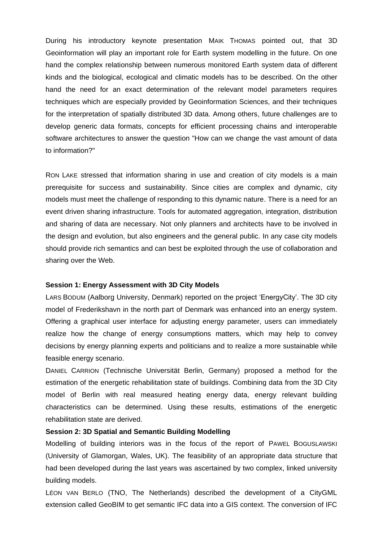During his introductory keynote presentation MAIK THOMAS pointed out, that 3D Geoinformation will play an important role for Earth system modelling in the future. On one hand the complex relationship between numerous monitored Earth system data of different kinds and the biological, ecological and climatic models has to be described. On the other hand the need for an exact determination of the relevant model parameters requires techniques which are especially provided by Geoinformation Sciences, and their techniques for the interpretation of spatially distributed 3D data. Among others, future challenges are to develop generic data formats, concepts for efficient processing chains and interoperable software architectures to answer the question "How can we change the vast amount of data to information?"

RON LAKE stressed that information sharing in use and creation of city models is a main prerequisite for success and sustainability. Since cities are complex and dynamic, city models must meet the challenge of responding to this dynamic nature. There is a need for an event driven sharing infrastructure. Tools for automated aggregation, integration, distribution and sharing of data are necessary. Not only planners and architects have to be involved in the design and evolution, but also engineers and the general public. In any case city models should provide rich semantics and can best be exploited through the use of collaboration and sharing over the Web.

# **Session 1: Energy Assessment with 3D City Models**

LARS BODUM (Aalborg University, Denmark) reported on the project "EnergyCity". The 3D city model of Frederikshavn in the north part of Denmark was enhanced into an energy system. Offering a graphical user interface for adjusting energy parameter, users can immediately realize how the change of energy consumptions matters, which may help to convey decisions by energy planning experts and politicians and to realize a more sustainable while feasible energy scenario.

DANIEL CARRION (Technische Universität Berlin, Germany) proposed a method for the estimation of the energetic rehabilitation state of buildings. Combining data from the 3D City model of Berlin with real measured heating energy data, energy relevant building characteristics can be determined. Using these results, estimations of the energetic rehabilitation state are derived.

# **Session 2: 3D Spatial and Semantic Building Modelling**

Modelling of building interiors was in the focus of the report of PAWEL BOGUSLAWSKI (University of Glamorgan, Wales, UK). The feasibility of an appropriate data structure that had been developed during the last years was ascertained by two complex, linked university building models.

LÉON VAN BERLO (TNO, The Netherlands) described the development of a CityGML extension called GeoBIM to get semantic IFC data into a GIS context. The conversion of IFC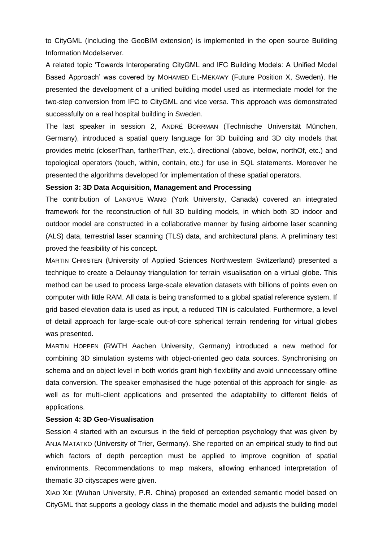to CityGML (including the GeoBIM extension) is implemented in the open source Building Information Modelserver.

A related topic "Towards Interoperating CityGML and IFC Building Models: A Unified Model Based Approach" was covered by MOHAMED EL-MEKAWY (Future Position X, Sweden). He presented the development of a unified building model used as intermediate model for the two-step conversion from IFC to CityGML and vice versa. This approach was demonstrated successfully on a real hospital building in Sweden.

The last speaker in session 2, ANDRÉ BORRMAN (Technische Universität München, Germany), introduced a spatial query language for 3D building and 3D city models that provides metric (closerThan, fartherThan, etc.), directional (above, below, northOf, etc.) and topological operators (touch, within, contain, etc.) for use in SQL statements. Moreover he presented the algorithms developed for implementation of these spatial operators.

## **Session 3: 3D Data Acquisition, Management and Processing**

The contribution of LANGYUE WANG (York University, Canada) covered an integrated framework for the reconstruction of full 3D building models, in which both 3D indoor and outdoor model are constructed in a collaborative manner by fusing airborne laser scanning (ALS) data, terrestrial laser scanning (TLS) data, and architectural plans. A preliminary test proved the feasibility of his concept.

MARTIN CHRISTEN (University of Applied Sciences Northwestern Switzerland) presented a technique to create a Delaunay triangulation for terrain visualisation on a virtual globe. This method can be used to process large-scale elevation datasets with billions of points even on computer with little RAM. All data is being transformed to a global spatial reference system. If grid based elevation data is used as input, a reduced TIN is calculated. Furthermore, a level of detail approach for large-scale out-of-core spherical terrain rendering for virtual globes was presented.

MARTIN HOPPEN (RWTH Aachen University, Germany) introduced a new method for combining 3D simulation systems with object-oriented geo data sources. Synchronising on schema and on object level in both worlds grant high flexibility and avoid unnecessary offline data conversion. The speaker emphasised the huge potential of this approach for single- as well as for multi-client applications and presented the adaptability to different fields of applications.

## **Session 4: 3D Geo-Visualisation**

Session 4 started with an excursus in the field of perception psychology that was given by ANJA MATATKO (University of Trier, Germany). She reported on an empirical study to find out which factors of depth perception must be applied to improve cognition of spatial environments. Recommendations to map makers, allowing enhanced interpretation of thematic 3D cityscapes were given.

XIAO XIE (Wuhan University, P.R. China) proposed an extended semantic model based on CityGML that supports a geology class in the thematic model and adjusts the building model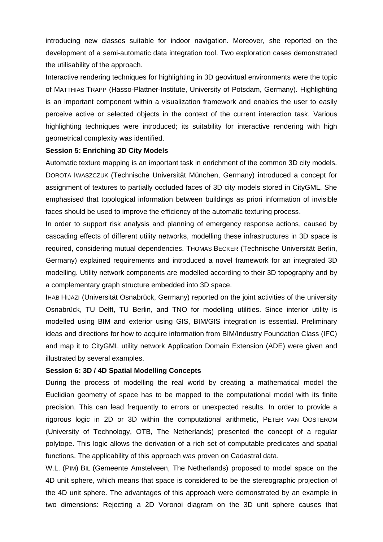introducing new classes suitable for indoor navigation. Moreover, she reported on the development of a semi-automatic data integration tool. Two exploration cases demonstrated the utilisability of the approach.

Interactive rendering techniques for highlighting in 3D geovirtual environments were the topic of MATTHIAS TRAPP (Hasso-Plattner-Institute, University of Potsdam, Germany). Highlighting is an important component within a visualization framework and enables the user to easily perceive active or selected objects in the context of the current interaction task. Various highlighting techniques were introduced; its suitability for interactive rendering with high geometrical complexity was identified.

### **Session 5: Enriching 3D City Models**

Automatic texture mapping is an important task in enrichment of the common 3D city models. DOROTA IWASZCZUK (Technische Universität München, Germany) introduced a concept for assignment of textures to partially occluded faces of 3D city models stored in CityGML. She emphasised that topological information between buildings as priori information of invisible faces should be used to improve the efficiency of the automatic texturing process.

In order to support risk analysis and planning of emergency response actions, caused by cascading effects of different utility networks, modelling these infrastructures in 3D space is required, considering mutual dependencies. THOMAS BECKER (Technische Universität Berlin, Germany) explained requirements and introduced a novel framework for an integrated 3D modelling. Utility network components are modelled according to their 3D topography and by a complementary graph structure embedded into 3D space.

IHAB HIJAZI (Universität Osnabrück, Germany) reported on the joint activities of the university Osnabrück, TU Delft, TU Berlin, and TNO for modelling utilities. Since interior utility is modelled using BIM and exterior using GIS, BIM/GIS integration is essential. Preliminary ideas and directions for how to acquire information from BIM/Industry Foundation Class (IFC) and map it to CityGML utility network Application Domain Extension (ADE) were given and illustrated by several examples.

## **Session 6: 3D / 4D Spatial Modelling Concepts**

During the process of modelling the real world by creating a mathematical model the Euclidian geometry of space has to be mapped to the computational model with its finite precision. This can lead frequently to errors or unexpected results. In order to provide a rigorous logic in 2D or 3D within the computational arithmetic, PETER VAN OOSTEROM (University of Technology, OTB, The Netherlands) presented the concept of a regular polytope. This logic allows the derivation of a rich set of computable predicates and spatial functions. The applicability of this approach was proven on Cadastral data.

W.L. (PIM) BIL (Gemeente Amstelveen, The Netherlands) proposed to model space on the 4D unit sphere, which means that space is considered to be the stereographic projection of the 4D unit sphere. The advantages of this approach were demonstrated by an example in two dimensions: Rejecting a 2D Voronoi diagram on the 3D unit sphere causes that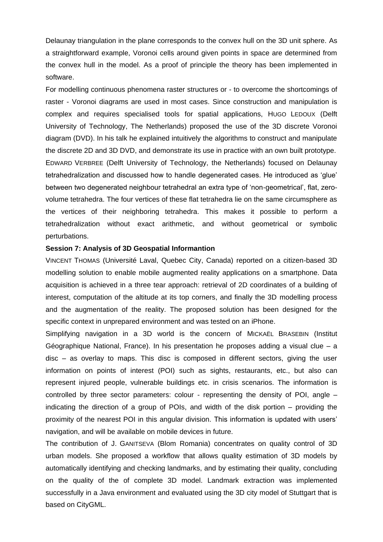Delaunay triangulation in the plane corresponds to the convex hull on the 3D unit sphere. As a straightforward example, Voronoi cells around given points in space are determined from the convex hull in the model. As a proof of principle the theory has been implemented in software.

For modelling continuous phenomena raster structures or - to overcome the shortcomings of raster - Voronoi diagrams are used in most cases. Since construction and manipulation is complex and requires specialised tools for spatial applications, HUGO LEDOUX (Delft University of Technology, The Netherlands) proposed the use of the 3D discrete Voronoi diagram (DVD). In his talk he explained intuitively the algorithms to construct and manipulate the discrete 2D and 3D DVD, and demonstrate its use in practice with an own built prototype. EDWARD VERBREE (Delft University of Technology, the Netherlands) focused on Delaunay tetrahedralization and discussed how to handle degenerated cases. He introduced as "glue" between two degenerated neighbour tetrahedral an extra type of "non-geometrical", flat, zerovolume tetrahedra. The four vertices of these flat tetrahedra lie on the same circumsphere as the vertices of their neighboring tetrahedra. This makes it possible to perform a tetrahedralization without exact arithmetic, and without geometrical or symbolic perturbations.

### **Session 7: Analysis of 3D Geospatial Informantion**

VINCENT THOMAS (Université Laval, Quebec City, Canada) reported on a citizen-based 3D modelling solution to enable mobile augmented reality applications on a smartphone. Data acquisition is achieved in a three tear approach: retrieval of 2D coordinates of a building of interest, computation of the altitude at its top corners, and finally the 3D modelling process and the augmentation of the reality. The proposed solution has been designed for the specific context in unprepared environment and was tested on an iPhone.

Simplifying navigation in a 3D world is the concern of MICKAËL BRASEBIN (Institut Géographique National, France). In his presentation he proposes adding a visual clue – a disc – as overlay to maps. This disc is composed in different sectors, giving the user information on points of interest (POI) such as sights, restaurants, etc., but also can represent injured people, vulnerable buildings etc. in crisis scenarios. The information is controlled by three sector parameters: colour - representing the density of POI, angle  $$ indicating the direction of a group of POIs, and width of the disk portion – providing the proximity of the nearest POI in this angular division. This information is updated with users" navigation, and will be available on mobile devices in future.

The contribution of J. GANITSEVA (Blom Romania) concentrates on quality control of 3D urban models. She proposed a workflow that allows quality estimation of 3D models by automatically identifying and checking landmarks, and by estimating their quality, concluding on the quality of the of complete 3D model. Landmark extraction was implemented successfully in a Java environment and evaluated using the 3D city model of Stuttgart that is based on CityGML.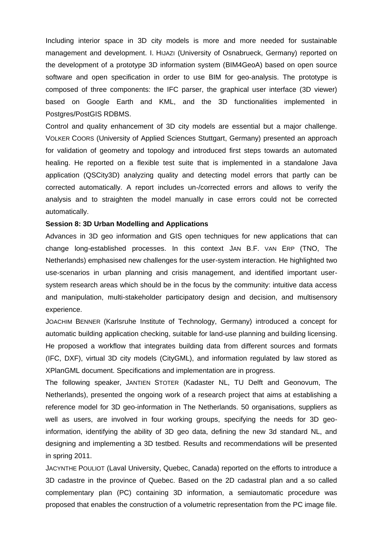Including interior space in 3D city models is more and more needed for sustainable management and development. I. HIJAZI (University of Osnabrueck, Germany) reported on the development of a prototype 3D information system (BIM4GeoA) based on open source software and open specification in order to use BIM for geo-analysis. The prototype is composed of three components: the IFC parser, the graphical user interface (3D viewer) based on Google Earth and KML, and the 3D functionalities implemented in Postgres/PostGIS RDBMS.

Control and quality enhancement of 3D city models are essential but a major challenge. VOLKER COORS (University of Applied Sciences Stuttgart, Germany) presented an approach for validation of geometry and topology and introduced first steps towards an automated healing. He reported on a flexible test suite that is implemented in a standalone Java application (QSCity3D) analyzing quality and detecting model errors that partly can be corrected automatically. A report includes un-/corrected errors and allows to verify the analysis and to straighten the model manually in case errors could not be corrected automatically.

### **Session 8: 3D Urban Modelling and Applications**

Advances in 3D geo information and GIS open techniques for new applications that can change long-established processes. In this context JAN B.F. VAN ERP (TNO, The Netherlands) emphasised new challenges for the user-system interaction. He highlighted two use-scenarios in urban planning and crisis management, and identified important usersystem research areas which should be in the focus by the community: intuitive data access and manipulation, multi-stakeholder participatory design and decision, and multisensory experience.

JOACHIM BENNER (Karlsruhe Institute of Technology, Germany) introduced a concept for automatic building application checking, suitable for land-use planning and building licensing. He proposed a workflow that integrates building data from different sources and formats (IFC, DXF), virtual 3D city models (CityGML), and information regulated by law stored as XPlanGML document. Specifications and implementation are in progress.

The following speaker, JANTIEN STOTER (Kadaster NL, TU Delft and Geonovum, The Netherlands), presented the ongoing work of a research project that aims at establishing a reference model for 3D geo-information in The Netherlands. 50 organisations, suppliers as well as users, are involved in four working groups, specifying the needs for 3D geoinformation, identifying the ability of 3D geo data, defining the new 3d standard NL, and designing and implementing a 3D testbed. Results and recommendations will be presented in spring 2011.

JACYNTHE POULIOT (Laval University, Quebec, Canada) reported on the efforts to introduce a 3D cadastre in the province of Quebec. Based on the 2D cadastral plan and a so called complementary plan (PC) containing 3D information, a semiautomatic procedure was proposed that enables the construction of a volumetric representation from the PC image file.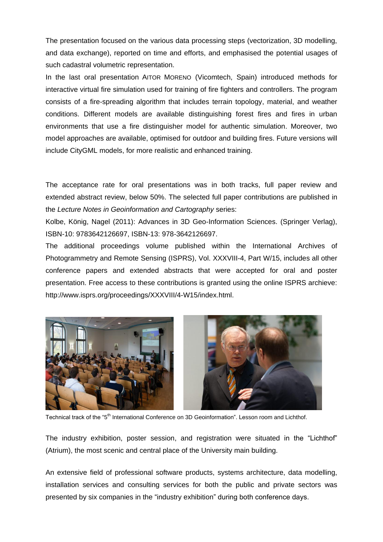The presentation focused on the various data processing steps (vectorization, 3D modelling, and data exchange), reported on time and efforts, and emphasised the potential usages of such cadastral volumetric representation.

In the last oral presentation AITOR MORENO (Vicomtech, Spain) introduced methods for interactive virtual fire simulation used for training of fire fighters and controllers. The program consists of a fire-spreading algorithm that includes terrain topology, material, and weather conditions. Different models are available distinguishing forest fires and fires in urban environments that use a fire distinguisher model for authentic simulation. Moreover, two model approaches are available, optimised for outdoor and building fires. Future versions will include CityGML models, for more realistic and enhanced training.

The acceptance rate for oral presentations was in both tracks, full paper review and extended abstract review, below 50%. The selected full paper contributions are published in the *Lecture Notes in Geoinformation and Cartography* series:

Kolbe, König, Nagel (2011): Advances in 3D Geo-Information Sciences. (Springer Verlag), ISBN-10: 9783642126697, ISBN-13: 978-3642126697.

The additional proceedings volume published within the International Archives of Photogrammetry and Remote Sensing (ISPRS), Vol. XXXVIII-4, Part W/15, includes all other conference papers and extended abstracts that were accepted for oral and poster presentation. Free access to these contributions is granted using the online ISPRS archieve: http://www.isprs.org/proceedings/XXXVIII/4-W15/index.html.



Technical track of the "5<sup>th</sup> International Conference on 3D Geoinformation". Lesson room and Lichthof.

The industry exhibition, poster session, and registration were situated in the "Lichthof" (Atrium), the most scenic and central place of the University main building.

An extensive field of professional software products, systems architecture, data modelling, installation services and consulting services for both the public and private sectors was presented by six companies in the "industry exhibition" during both conference days.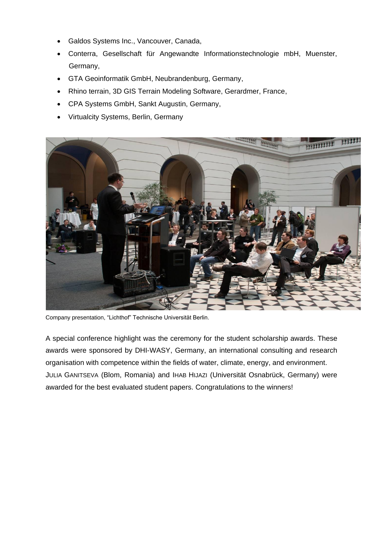- Galdos Systems Inc., Vancouver, Canada,
- Conterra, Gesellschaft für Angewandte Informationstechnologie mbH, Muenster, Germany,
- GTA Geoinformatik GmbH, Neubrandenburg, Germany,
- Rhino terrain, 3D GIS Terrain Modeling Software, Gerardmer, France,
- CPA Systems GmbH, Sankt Augustin, Germany,
- Virtualcity Systems, Berlin, Germany



Company presentation, "Lichthof" Technische Universität Berlin.

A special conference highlight was the ceremony for the student scholarship awards. These awards were sponsored by DHI-WASY, Germany, an international consulting and research organisation with competence within the fields of water, climate, energy, and environment. JULIA GANITSEVA (Blom, Romania) and IHAB HIJAZI (Universität Osnabrück, Germany) were awarded for the best evaluated student papers. Congratulations to the winners!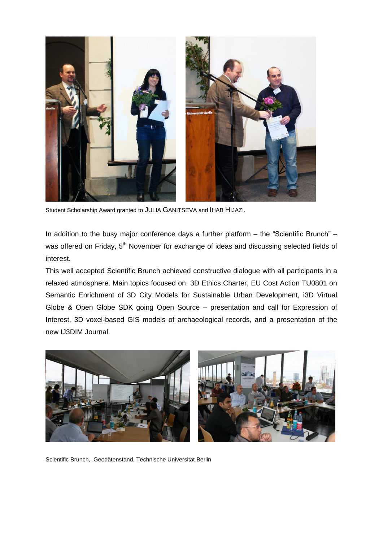

Student Scholarship Award granted to JULIA GANITSEVA and IHAB HIJAZI.

In addition to the busy major conference days a further platform – the "Scientific Brunch" – was offered on Friday, 5<sup>th</sup> November for exchange of ideas and discussing selected fields of interest.

This well accepted Scientific Brunch achieved constructive dialogue with all participants in a relaxed atmosphere. Main topics focused on: 3D Ethics Charter, EU Cost Action TU0801 on Semantic Enrichment of 3D City Models for Sustainable Urban Development, i3D Virtual Globe & Open Globe SDK going Open Source – presentation and call for Expression of Interest, 3D voxel-based GIS models of archaeological records, and a presentation of the new IJ3DIM Journal.



Scientific Brunch, Geodätenstand, Technische Universität Berlin